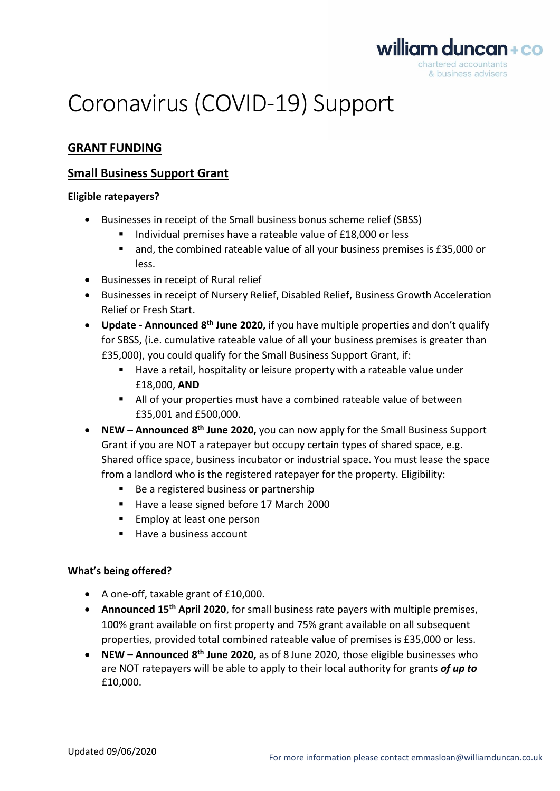

# Coronavirus (COVID-19) Support

# **GRANT FUNDING**

# **Small Business Support Grant**

# **Eligible ratepayers?**

- Businesses in receipt of the Small business bonus scheme relief (SBSS)
	- Individual premises have a rateable value of £18,000 or less
	- and, the combined rateable value of all your business premises is £35,000 or less.
- Businesses in receipt of Rural relief
- Businesses in receipt of Nursery Relief, Disabled Relief, Business Growth Acceleration Relief or Fresh Start.
- **Update - Announced 8 th June 2020,** if you have multiple properties and don't qualify for SBSS, (i.e. cumulative rateable value of all your business premises is greater than £35,000), you could qualify for the Small Business Support Grant, if:
	- Have a retail, hospitality or leisure property with a rateable value under £18,000, **AND**
	- All of your properties must have a combined rateable value of between £35,001 and £500,000.
- **NEW – Announced 8 th June 2020,** you can now apply for the Small Business Support Grant if you are NOT a ratepayer but occupy certain types of shared space, e.g. Shared office space, business incubator or industrial space. You must lease the space from a landlord who is the registered ratepayer for the property. Eligibility:
	- Be a registered business or partnership
	- Have a lease signed before 17 March 2000
	- Employ at least one person
	- Have a business account

## **What's being offered?**

- A one-off, taxable grant of £10,000.
- **Announced 15th April 2020**, for small business rate payers with multiple premises, 100% grant available on first property and 75% grant available on all subsequent properties, provided total combined rateable value of premises is £35,000 or less.
- **NEW – Announced 8 th June 2020,** as of 8 June 2020, those eligible businesses who are NOT ratepayers will be able to apply to their local authority for grants *of up to* £10,000.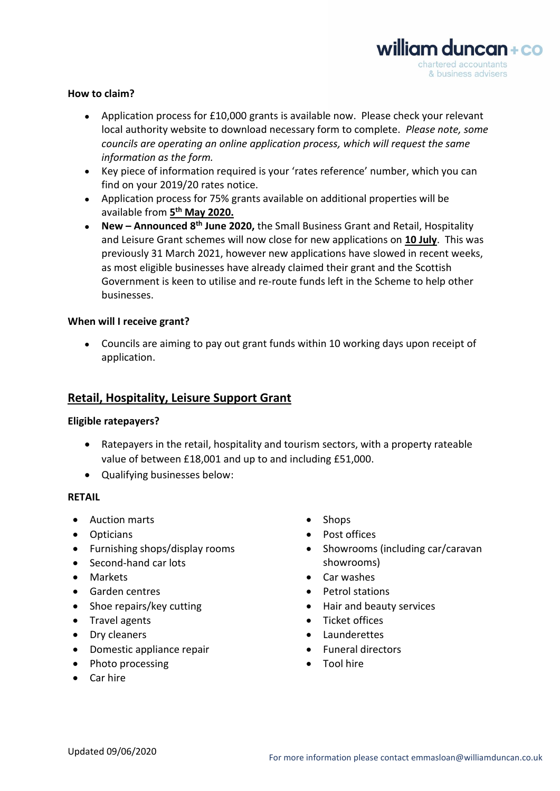

#### **How to claim?**

- Application process for £10,000 grants is available now. Please check your relevant local authority website to download necessary form to complete. *Please note, some councils are operating an online application process, which will request the same information as the form.*
- Key piece of information required is your 'rates reference' number, which you can find on your 2019/20 rates notice.
- Application process for 75% grants available on additional properties will be available from **5 th May 2020.**
- **New – Announced 8 th June 2020,** the Small Business Grant and Retail, Hospitality and Leisure Grant schemes will now close for new applications on **10 July**. This was previously 31 March 2021, however new applications have slowed in recent weeks, as most eligible businesses have already claimed their grant and the Scottish Government is keen to utilise and re-route funds left in the Scheme to help other businesses.

#### **When will I receive grant?**

• Councils are aiming to pay out grant funds within 10 working days upon receipt of application.

# **Retail, Hospitality, Leisure Support Grant**

#### **Eligible ratepayers?**

- Ratepayers in the retail, hospitality and tourism sectors, with a property rateable value of between £18,001 and up to and including £51,000.
- Qualifying businesses below:

#### **RETAIL**

- Auction marts Shops
- 
- Furnishing shops/display rooms
- Second-hand car lots
- 
- 
- 
- 
- 
- Domestic appliance repair Funeral directors
- Photo processing extensive the Tool hire
- Car hire
- 
- Opticians Post offices
	- Showrooms (including car/caravan showrooms)
- Markets Car washes
	- Garden centres **•** Petrol stations
	- Shoe repairs/key cutting example and beauty services
- Travel agents Ticket offices
- Dry cleaners Launderettes
	-
	-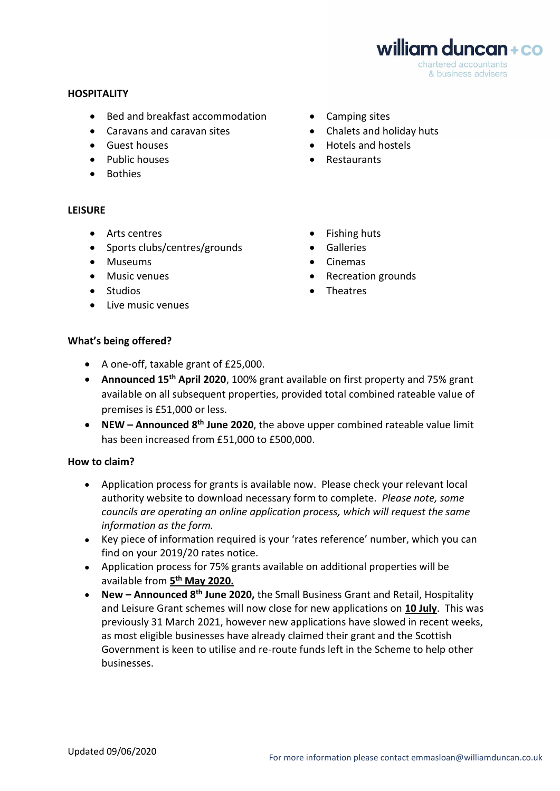william duncan+co chartered accountants & business advisers

#### **HOSPITALITY**

- Bed and breakfast accommodation Camping sites
- Caravans and caravan sites Chalets and holiday huts
- 
- Public houses Restaurants
- Bothies

#### **LEISURE**

- Arts centres Fishing huts
- Sports clubs/centres/grounds Galleries
- Museums Cinemas
- 
- Studios
- Live music venues
- 
- 
- Guest houses  **Hotels and hostels** 
	-
	-
	-
	-
- Music venues Recreation grounds
	- Theatres

#### **What's being offered?**

- A one-off, taxable grant of £25,000.
- **Announced 15th April 2020**, 100% grant available on first property and 75% grant available on all subsequent properties, provided total combined rateable value of premises is £51,000 or less.
- **NEW – Announced 8 th June 2020**, the above upper combined rateable value limit has been increased from £51,000 to £500,000.

## **How to claim?**

- Application process for grants is available now. Please check your relevant local authority website to download necessary form to complete. *Please note, some councils are operating an online application process, which will request the same information as the form.*
- Key piece of information required is your 'rates reference' number, which you can find on your 2019/20 rates notice.
- Application process for 75% grants available on additional properties will be available from **5 th May 2020.**
- **New – Announced 8 th June 2020,** the Small Business Grant and Retail, Hospitality and Leisure Grant schemes will now close for new applications on **10 July**. This was previously 31 March 2021, however new applications have slowed in recent weeks, as most eligible businesses have already claimed their grant and the Scottish Government is keen to utilise and re-route funds left in the Scheme to help other businesses.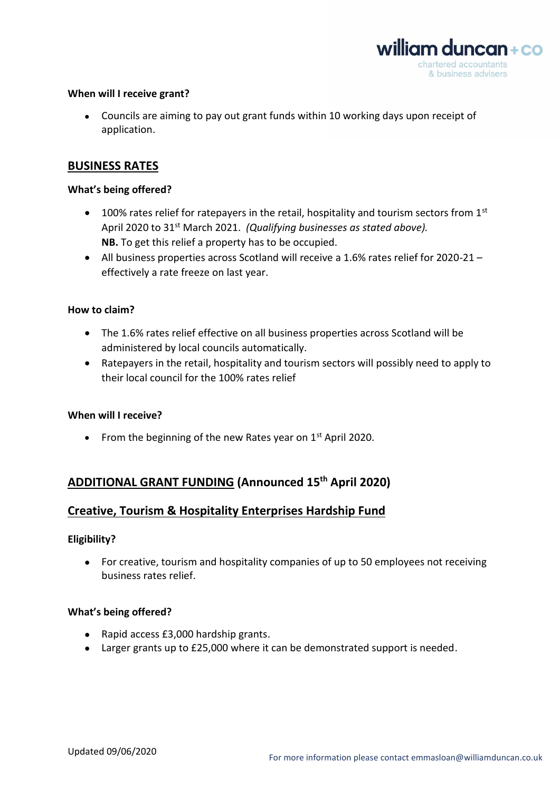

#### **When will I receive grant?**

• Councils are aiming to pay out grant funds within 10 working days upon receipt of application.

## **BUSINESS RATES**

#### **What's being offered?**

- 100% rates relief for ratepayers in the retail, hospitality and tourism sectors from  $1<sup>st</sup>$ April 2020 to 31<sup>st</sup> March 2021. *(Qualifying businesses as stated above)*. **NB.** To get this relief a property has to be occupied.
- All business properties across Scotland will receive a 1.6% rates relief for 2020-21 effectively a rate freeze on last year.

#### **How to claim?**

- The 1.6% rates relief effective on all business properties across Scotland will be administered by local councils automatically.
- Ratepayers in the retail, hospitality and tourism sectors will possibly need to apply to their local council for the 100% rates relief

#### **When will I receive?**

• From the beginning of the new Rates year on  $1<sup>st</sup>$  April 2020.

# **ADDITIONAL GRANT FUNDING (Announced 15th April 2020)**

## **Creative, Tourism & Hospitality Enterprises Hardship Fund**

#### **Eligibility?**

• For creative, tourism and hospitality companies of up to 50 employees not receiving business rates relief.

#### **What's being offered?**

- Rapid access £3,000 hardship grants.
- Larger grants up to £25,000 where it can be demonstrated support is needed.